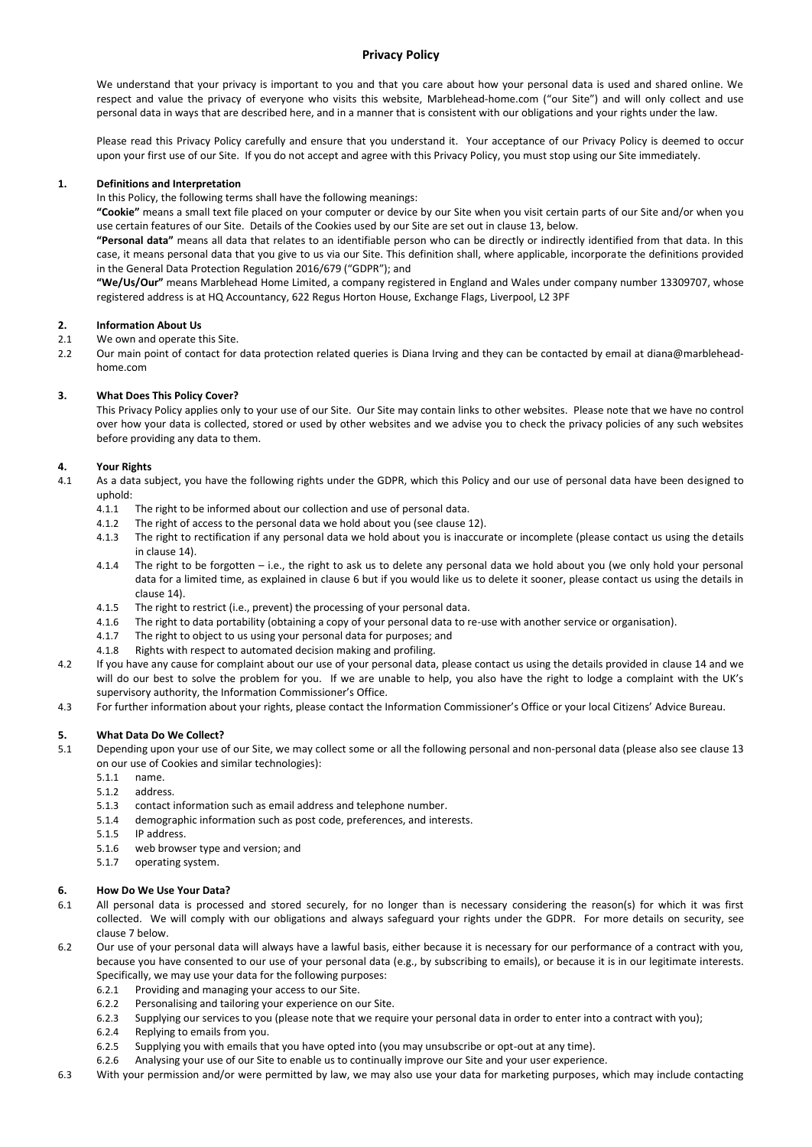# **Privacy Policy**

We understand that your privacy is important to you and that you care about how your personal data is used and shared online. We respect and value the privacy of everyone who visits this website, Marblehead-home.com ("our Site") and will only collect and use personal data in ways that are described here, and in a manner that is consistent with our obligations and your rights under the law.

Please read this Privacy Policy carefully and ensure that you understand it. Your acceptance of our Privacy Policy is deemed to occur upon your first use of our Site. If you do not accept and agree with this Privacy Policy, you must stop using our Site immediately.

# **1. Definitions and Interpretation**

In this Policy, the following terms shall have the following meanings:

**"Cookie"** means a small text file placed on your computer or device by our Site when you visit certain parts of our Site and/or when you use certain features of our Site. Details of the Cookies used by our Site are set out in clause 13, below.

**"Personal data"** means all data that relates to an identifiable person who can be directly or indirectly identified from that data. In this case, it means personal data that you give to us via our Site. This definition shall, where applicable, incorporate the definitions provided in the General Data Protection Regulation 2016/679 ("GDPR"); and

**"We/Us/Our"** means Marblehead Home Limited, a company registered in England and Wales under company number 13309707, whose registered address is at HQ Accountancy, 622 Regus Horton House, Exchange Flags, Liverpool, L2 3PF

# **2. Information About Us**

- 2.1 We own and operate this Site.
- 2.2 Our main point of contact for data protection related queries is Diana Irving and they can be contacted by email at diana@marbleheadhome.com

# **3. What Does This Policy Cover?**

This Privacy Policy applies only to your use of our Site. Our Site may contain links to other websites. Please note that we have no control over how your data is collected, stored or used by other websites and we advise you to check the privacy policies of any such websites before providing any data to them.

# **4. Your Rights**

- 4.1 As a data subject, you have the following rights under the GDPR, which this Policy and our use of personal data have been designed to uphold:
	- 4.1.1 The right to be informed about our collection and use of personal data.
	- 4.1.2 The right of access to the personal data we hold about you (see clause 12).
	- 4.1.3 The right to rectification if any personal data we hold about you is inaccurate or incomplete (please contact us using the details in clause 14).
	- 4.1.4 The right to be forgotten i.e., the right to ask us to delete any personal data we hold about you (we only hold your personal data for a limited time, as explained in clause 6 but if you would like us to delete it sooner, please contact us using the details in clause 14).
	- 4.1.5 The right to restrict (i.e., prevent) the processing of your personal data.
	- 4.1.6 The right to data portability (obtaining a copy of your personal data to re-use with another service or organisation).
	- 4.1.7 The right to object to us using your personal data for purposes; and
	- 4.1.8 Rights with respect to automated decision making and profiling.
- 4.2 If you have any cause for complaint about our use of your personal data, please contact us using the details provided in clause 14 and we will do our best to solve the problem for you. If we are unable to help, you also have the right to lodge a complaint with the UK's supervisory authority, the Information Commissioner's Office.
- 4.3 For further information about your rights, please contact the Information Commissioner's Office or your local Citizens' Advice Bureau.

# **5. What Data Do We Collect?**

- 5.1 Depending upon your use of our Site, we may collect some or all the following personal and non-personal data (please also see clause 13 on our use of Cookies and similar technologies):
	- 5.1.1 name.
	- 5.1.2 address.
	- 5.1.3 contact information such as email address and telephone number.
	- 5.1.4 demographic information such as post code, preferences, and interests.
	- 5.1.5 IP address.
	- 5.1.6 web browser type and version; and
	- 5.1.7 operating system.

## **6. How Do We Use Your Data?**

- 6.1 All personal data is processed and stored securely, for no longer than is necessary considering the reason(s) for which it was first collected. We will comply with our obligations and always safeguard your rights under the GDPR. For more details on security, see clause 7 below.
- 6.2 Our use of your personal data will always have a lawful basis, either because it is necessary for our performance of a contract with you, because you have consented to our use of your personal data (e.g., by subscribing to emails), or because it is in our legitimate interests. Specifically, we may use your data for the following purposes:
	- 6.2.1 Providing and managing your access to our Site.
	- 6.2.2 Personalising and tailoring your experience on our Site.
	- 6.2.3 Supplying our services to you (please note that we require your personal data in order to enter into a contract with you);
	- 6.2.4 Replying to emails from you.
	- 6.2.5 Supplying you with emails that you have opted into (you may unsubscribe or opt-out at any time).
	- 6.2.6 Analysing your use of our Site to enable us to continually improve our Site and your user experience.
- 6.3 With your permission and/or were permitted by law, we may also use your data for marketing purposes, which may include contacting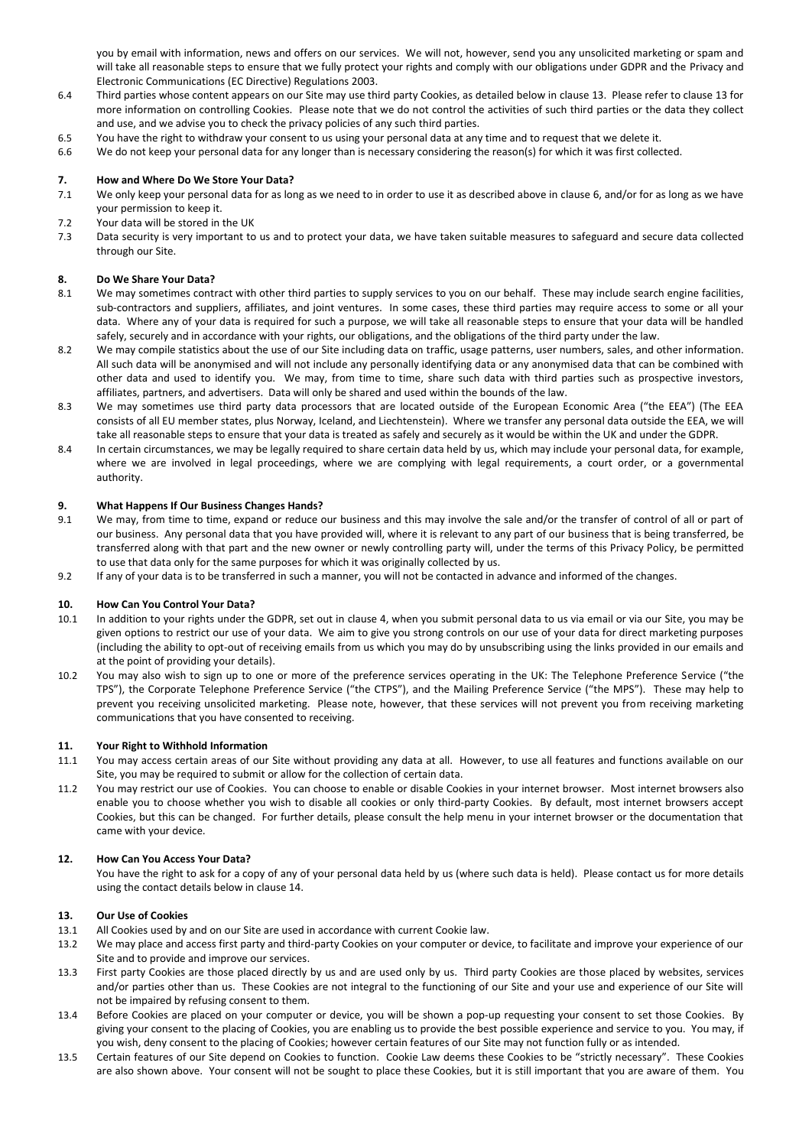you by email with information, news and offers on our services. We will not, however, send you any unsolicited marketing or spam and will take all reasonable steps to ensure that we fully protect your rights and comply with our obligations under GDPR and the Privacy and Electronic Communications (EC Directive) Regulations 2003.

- 6.4 Third parties whose content appears on our Site may use third party Cookies, as detailed below in clause 13. Please refer to clause 13 for more information on controlling Cookies. Please note that we do not control the activities of such third parties or the data they collect and use, and we advise you to check the privacy policies of any such third parties.
- 6.5 You have the right to withdraw your consent to us using your personal data at any time and to request that we delete it.
- 6.6 We do not keep your personal data for any longer than is necessary considering the reason(s) for which it was first collected.

## **7. How and Where Do We Store Your Data?**

- 7.1 We only keep your personal data for as long as we need to in order to use it as described above in clause 6, and/or for as long as we have your permission to keep it.
- 7.2 Your data will be stored in the UK
- 7.3 Data security is very important to us and to protect your data, we have taken suitable measures to safeguard and secure data collected through our Site.

## **8. Do We Share Your Data?**

- 8.1 We may sometimes contract with other third parties to supply services to you on our behalf. These may include search engine facilities, sub-contractors and suppliers, affiliates, and joint ventures. In some cases, these third parties may require access to some or all your data. Where any of your data is required for such a purpose, we will take all reasonable steps to ensure that your data will be handled safely, securely and in accordance with your rights, our obligations, and the obligations of the third party under the law.
- 8.2 We may compile statistics about the use of our Site including data on traffic, usage patterns, user numbers, sales, and other information. All such data will be anonymised and will not include any personally identifying data or any anonymised data that can be combined with other data and used to identify you. We may, from time to time, share such data with third parties such as prospective investors, affiliates, partners, and advertisers. Data will only be shared and used within the bounds of the law.
- 8.3 We may sometimes use third party data processors that are located outside of the European Economic Area ("the EEA") (The EEA consists of all EU member states, plus Norway, Iceland, and Liechtenstein). Where we transfer any personal data outside the EEA, we will take all reasonable steps to ensure that your data is treated as safely and securely as it would be within the UK and under the GDPR.
- 8.4 In certain circumstances, we may be legally required to share certain data held by us, which may include your personal data, for example, where we are involved in legal proceedings, where we are complying with legal requirements, a court order, or a governmental authority.

## **9. What Happens If Our Business Changes Hands?**

- 9.1 We may, from time to time, expand or reduce our business and this may involve the sale and/or the transfer of control of all or part of our business. Any personal data that you have provided will, where it is relevant to any part of our business that is being transferred, be transferred along with that part and the new owner or newly controlling party will, under the terms of this Privacy Policy, be permitted to use that data only for the same purposes for which it was originally collected by us.
- 9.2 If any of your data is to be transferred in such a manner, you will not be contacted in advance and informed of the changes.

## **10. How Can You Control Your Data?**

- 10.1 In addition to your rights under the GDPR, set out in clause 4, when you submit personal data to us via email or via our Site, you may be given options to restrict our use of your data. We aim to give you strong controls on our use of your data for direct marketing purposes (including the ability to opt-out of receiving emails from us which you may do by unsubscribing using the links provided in our emails and at the point of providing your details).
- 10.2 You may also wish to sign up to one or more of the preference services operating in the UK: The Telephone Preference Service ("the TPS"), the Corporate Telephone Preference Service ("the CTPS"), and the Mailing Preference Service ("the MPS"). These may help to prevent you receiving unsolicited marketing. Please note, however, that these services will not prevent you from receiving marketing communications that you have consented to receiving.

#### **11. Your Right to Withhold Information**

- 11.1 You may access certain areas of our Site without providing any data at all. However, to use all features and functions available on our Site, you may be required to submit or allow for the collection of certain data.
- 11.2 You may restrict our use of Cookies. You can choose to enable or disable Cookies in your internet browser. Most internet browsers also enable you to choose whether you wish to disable all cookies or only third-party Cookies. By default, most internet browsers accept Cookies, but this can be changed. For further details, please consult the help menu in your internet browser or the documentation that came with your device.

#### **12. How Can You Access Your Data?**

You have the right to ask for a copy of any of your personal data held by us (where such data is held). Please contact us for more details using the contact details below in clause 14.

## **13. Our Use of Cookies**

- 13.1 All Cookies used by and on our Site are used in accordance with current Cookie law.
- 13.2 We may place and access first party and third-party Cookies on your computer or device, to facilitate and improve your experience of our Site and to provide and improve our services.
- 13.3 First party Cookies are those placed directly by us and are used only by us. Third party Cookies are those placed by websites, services and/or parties other than us. These Cookies are not integral to the functioning of our Site and your use and experience of our Site will not be impaired by refusing consent to them.
- 13.4 Before Cookies are placed on your computer or device, you will be shown a pop-up requesting your consent to set those Cookies. By giving your consent to the placing of Cookies, you are enabling us to provide the best possible experience and service to you. You may, if you wish, deny consent to the placing of Cookies; however certain features of our Site may not function fully or as intended.
- 13.5 Certain features of our Site depend on Cookies to function. Cookie Law deems these Cookies to be "strictly necessary". These Cookies are also shown above. Your consent will not be sought to place these Cookies, but it is still important that you are aware of them. You